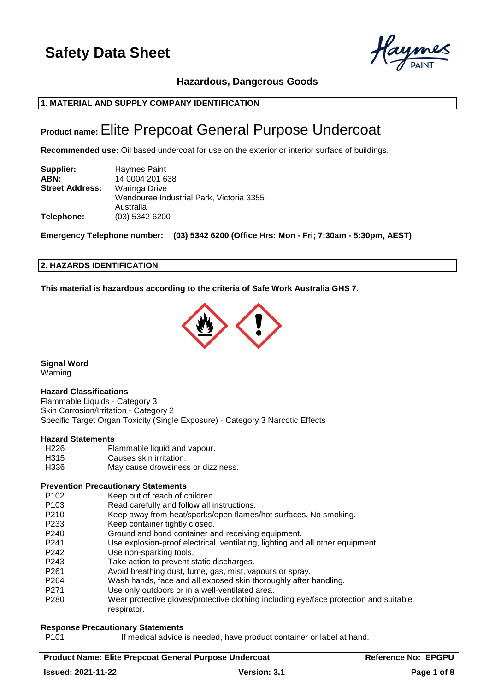

**Hazardous, Dangerous Goods**

## **1. MATERIAL AND SUPPLY COMPANY IDENTIFICATION**

## **Product name:**Elite Prepcoat General Purpose Undercoat

**Recommended use:** Oil based undercoat for use on the exterior or interior surface of buildings.

| Supplier:              | Haymes Paint                                          |
|------------------------|-------------------------------------------------------|
| ABN:                   | 14 0004 201 638                                       |
| <b>Street Address:</b> | Waringa Drive                                         |
|                        | Wendouree Industrial Park, Victoria 3355<br>Australia |
| Telephone:             | (03) 5342 6200                                        |

**Emergency Telephone number: (03) 5342 6200 (Office Hrs: Mon - Fri; 7:30am - 5:30pm, AEST)**

### **2. HAZARDS IDENTIFICATION**

**This material is hazardous according to the criteria of Safe Work Australia GHS 7.**



**Signal Word** Warning

#### **Hazard Classifications**

Flammable Liquids - Category 3 Skin Corrosion/Irritation - Category 2 Specific Target Organ Toxicity (Single Exposure) - Category 3 Narcotic Effects

#### **Hazard Statements**

H226 Flammable liquid and vapour. H315 Causes skin irritation. H336 May cause drowsiness or dizziness.

## **Prevention Precautionary Statements**

- P102 Keep out of reach of children.
- P103 Read carefully and follow all instructions.
- P210 Keep away from heat/sparks/open flames/hot surfaces. No smoking.
- P233 Keep container tightly closed.
- P240 Ground and bond container and receiving equipment.
- P241 Use explosion-proof electrical, ventilating, lighting and all other equipment.
- P242 Use non-sparking tools.
- P243 Take action to prevent static discharges.
- P261 Avoid breathing dust, fume, gas, mist, vapours or spray..
- P264 Wash hands, face and all exposed skin thoroughly after handling.
- P271 Use only outdoors or in a well-ventilated area.
- P280 Wear protective gloves/protective clothing including eye/face protection and suitable respirator.

#### **Response Precautionary Statements**

P101 If medical advice is needed, have product container or label at hand.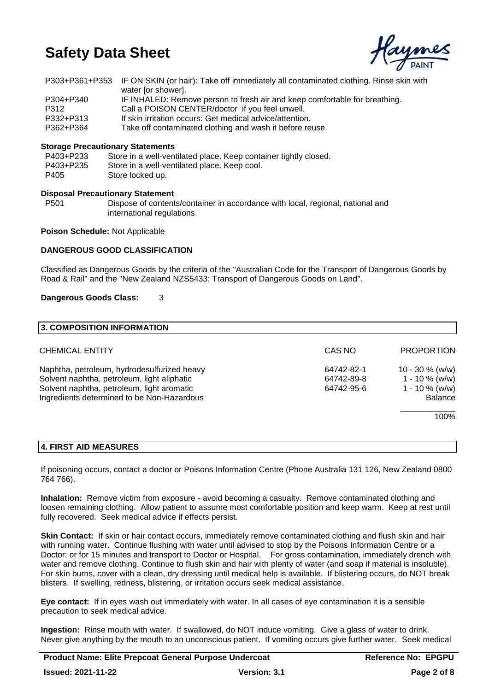

|           | P303+P361+P353 IF ON SKIN (or hair): Take off immediately all contaminated clothing. Rinse skin with |
|-----------|------------------------------------------------------------------------------------------------------|
|           | water [or shower].                                                                                   |
| P304+P340 | IF INHALED: Remove person to fresh air and keep comfortable for breathing.                           |
| P312      | Call a POISON CENTER/doctor if you feel unwell.                                                      |
| P332+P313 | If skin irritation occurs: Get medical advice/attention.                                             |
| P362+P364 | Take off contaminated clothing and wash it before reuse                                              |

### **Storage Precautionary Statements**

| P403+P233 | Store in a well-ventilated place. Keep container tightly closed. |
|-----------|------------------------------------------------------------------|
| P403+P235 | Store in a well-ventilated place. Keep cool.                     |
| P405      | Store locked up.                                                 |

#### **Disposal Precautionary Statement**

P501 Dispose of contents/container in accordance with local, regional, national and international regulations.

**Poison Schedule:** Not Applicable

### **DANGEROUS GOOD CLASSIFICATION**

Classified as Dangerous Goods by the criteria of the "Australian Code for the Transport of Dangerous Goods by Road & Rail" and the "New Zealand NZS5433: Transport of Dangerous Goods on Land".

#### **Dangerous Goods Class:** 3

| 3. COMPOSITION INFORMATION                                                                                                                                                             |                                        |                                                                                |
|----------------------------------------------------------------------------------------------------------------------------------------------------------------------------------------|----------------------------------------|--------------------------------------------------------------------------------|
| <b>CHEMICAL ENTITY</b>                                                                                                                                                                 | CAS NO                                 | <b>PROPORTION</b>                                                              |
| Naphtha, petroleum, hydrodesulfurized heavy<br>Solvent naphtha, petroleum, light aliphatic<br>Solvent naphtha, petroleum, light aromatic<br>Ingredients determined to be Non-Hazardous | 64742-82-1<br>64742-89-8<br>64742-95-6 | $10 - 30 \%$ (w/w)<br>$1 - 10 \%$ (w/w)<br>$1 - 10 \%$ (w/w)<br><b>Balance</b> |
|                                                                                                                                                                                        |                                        | 100%                                                                           |

#### **4. FIRST AID MEASURES**

If poisoning occurs, contact a doctor or Poisons Information Centre (Phone Australia 131 126, New Zealand 0800 764 766).

**Inhalation:** Remove victim from exposure - avoid becoming a casualty. Remove contaminated clothing and loosen remaining clothing. Allow patient to assume most comfortable position and keep warm. Keep at rest until fully recovered. Seek medical advice if effects persist.

**Skin Contact:** If skin or hair contact occurs, immediately remove contaminated clothing and flush skin and hair with running water. Continue flushing with water until advised to stop by the Poisons Information Centre or a Doctor; or for 15 minutes and transport to Doctor or Hospital. For gross contamination, immediately drench with water and remove clothing. Continue to flush skin and hair with plenty of water (and soap if material is insoluble). For skin burns, cover with a clean, dry dressing until medical help is available. If blistering occurs, do NOT break blisters. If swelling, redness, blistering, or irritation occurs seek medical assistance.

**Eye contact:** If in eyes wash out immediately with water. In all cases of eye contamination it is a sensible precaution to seek medical advice.

**Ingestion:** Rinse mouth with water. If swallowed, do NOT induce vomiting. Give a glass of water to drink. Never give anything by the mouth to an unconscious patient. If vomiting occurs give further water. Seek medical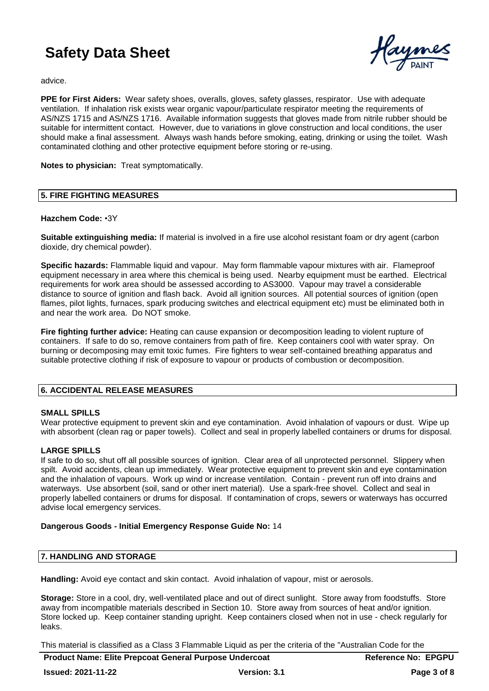

advice.

**PPE for First Aiders:** Wear safety shoes, overalls, gloves, safety glasses, respirator. Use with adequate ventilation. If inhalation risk exists wear organic vapour/particulate respirator meeting the requirements of AS/NZS 1715 and AS/NZS 1716. Available information suggests that gloves made from nitrile rubber should be suitable for intermittent contact. However, due to variations in glove construction and local conditions, the user should make a final assessment. Always wash hands before smoking, eating, drinking or using the toilet. Wash contaminated clothing and other protective equipment before storing or re-using.

**Notes to physician:** Treat symptomatically.

### **5. FIRE FIGHTING MEASURES**

### **Hazchem Code:** •3Y

**Suitable extinguishing media:** If material is involved in a fire use alcohol resistant foam or dry agent (carbon dioxide, dry chemical powder).

**Specific hazards:** Flammable liquid and vapour. May form flammable vapour mixtures with air. Flameproof equipment necessary in area where this chemical is being used. Nearby equipment must be earthed. Electrical requirements for work area should be assessed according to AS3000. Vapour may travel a considerable distance to source of ignition and flash back. Avoid all ignition sources. All potential sources of ignition (open flames, pilot lights, furnaces, spark producing switches and electrical equipment etc) must be eliminated both in and near the work area. Do NOT smoke.

**Fire fighting further advice:** Heating can cause expansion or decomposition leading to violent rupture of containers. If safe to do so, remove containers from path of fire. Keep containers cool with water spray. On burning or decomposing may emit toxic fumes. Fire fighters to wear self-contained breathing apparatus and suitable protective clothing if risk of exposure to vapour or products of combustion or decomposition.

## **6. ACCIDENTAL RELEASE MEASURES**

#### **SMALL SPILLS**

Wear protective equipment to prevent skin and eye contamination. Avoid inhalation of vapours or dust. Wipe up with absorbent (clean rag or paper towels). Collect and seal in properly labelled containers or drums for disposal.

## **LARGE SPILLS**

If safe to do so, shut off all possible sources of ignition. Clear area of all unprotected personnel. Slippery when spilt. Avoid accidents, clean up immediately. Wear protective equipment to prevent skin and eye contamination and the inhalation of vapours. Work up wind or increase ventilation. Contain - prevent run off into drains and waterways. Use absorbent (soil, sand or other inert material). Use a spark-free shovel. Collect and seal in properly labelled containers or drums for disposal. If contamination of crops, sewers or waterways has occurred advise local emergency services.

#### **Dangerous Goods - Initial Emergency Response Guide No:** 14

## **7. HANDLING AND STORAGE**

**Handling:** Avoid eye contact and skin contact. Avoid inhalation of vapour, mist or aerosols.

**Storage:** Store in a cool, dry, well-ventilated place and out of direct sunlight. Store away from foodstuffs. Store away from incompatible materials described in Section 10. Store away from sources of heat and/or ignition. Store locked up. Keep container standing upright. Keep containers closed when not in use - check regularly for leaks.

This material is classified as a Class 3 Flammable Liquid as per the criteria of the "Australian Code for the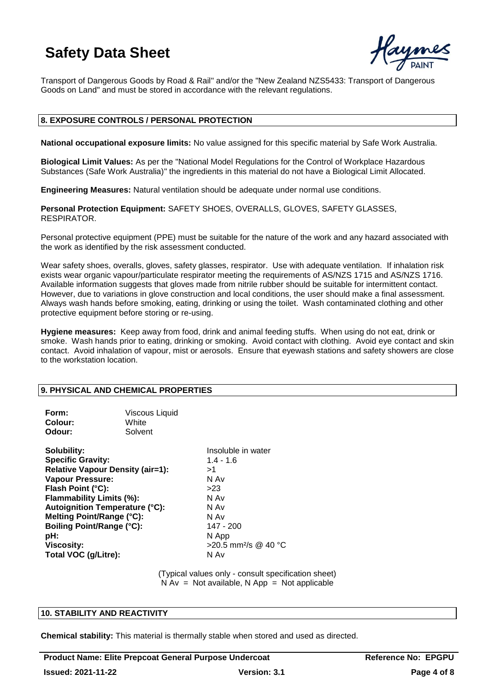

Transport of Dangerous Goods by Road & Rail" and/or the "New Zealand NZS5433: Transport of Dangerous Goods on Land" and must be stored in accordance with the relevant regulations.

### **8. EXPOSURE CONTROLS / PERSONAL PROTECTION**

**National occupational exposure limits:** No value assigned for this specific material by Safe Work Australia.

**Biological Limit Values:** As per the "National Model Regulations for the Control of Workplace Hazardous Substances (Safe Work Australia)" the ingredients in this material do not have a Biological Limit Allocated.

**Engineering Measures:** Natural ventilation should be adequate under normal use conditions.

**Personal Protection Equipment:** SAFETY SHOES, OVERALLS, GLOVES, SAFETY GLASSES, RESPIRATOR.

Personal protective equipment (PPE) must be suitable for the nature of the work and any hazard associated with the work as identified by the risk assessment conducted.

Wear safety shoes, overalls, gloves, safety glasses, respirator. Use with adequate ventilation. If inhalation risk exists wear organic vapour/particulate respirator meeting the requirements of AS/NZS 1715 and AS/NZS 1716. Available information suggests that gloves made from nitrile rubber should be suitable for intermittent contact. However, due to variations in glove construction and local conditions, the user should make a final assessment. Always wash hands before smoking, eating, drinking or using the toilet. Wash contaminated clothing and other protective equipment before storing or re-using.

**Hygiene measures:** Keep away from food, drink and animal feeding stuffs. When using do not eat, drink or smoke. Wash hands prior to eating, drinking or smoking. Avoid contact with clothing. Avoid eye contact and skin contact. Avoid inhalation of vapour, mist or aerosols. Ensure that eyewash stations and safety showers are close to the workstation location.

#### **9. PHYSICAL AND CHEMICAL PROPERTIES**

| Form:<br>Colour:<br>Odour:                                                                                                                                                                                                                                                        | Viscous Liquid<br>White<br>Solvent      |                                                                                                                                                     |
|-----------------------------------------------------------------------------------------------------------------------------------------------------------------------------------------------------------------------------------------------------------------------------------|-----------------------------------------|-----------------------------------------------------------------------------------------------------------------------------------------------------|
| Solubility:<br><b>Specific Gravity:</b><br><b>Vapour Pressure:</b><br>Flash Point (°C):<br>Flammability Limits (%):<br><b>Autoignition Temperature (°C):</b><br>Melting Point/Range (°C):<br><b>Boiling Point/Range (°C):</b><br>pH:<br><b>Viscosity:</b><br>Total VOC (g/Litre): | <b>Relative Vapour Density (air=1):</b> | Insoluble in water<br>$1.4 - 1.6$<br>>1<br>N Av<br>>23<br>N Av<br>N Av<br>N Av<br>147 - 200<br>N App<br>$>$ 20.5 mm <sup>2</sup> /s @ 40 °C<br>N Av |

(Typical values only - consult specification sheet)  $N Av = Not available, N App = Not applicable$ 

#### **10. STABILITY AND REACTIVITY**

**Chemical stability:** This material is thermally stable when stored and used as directed.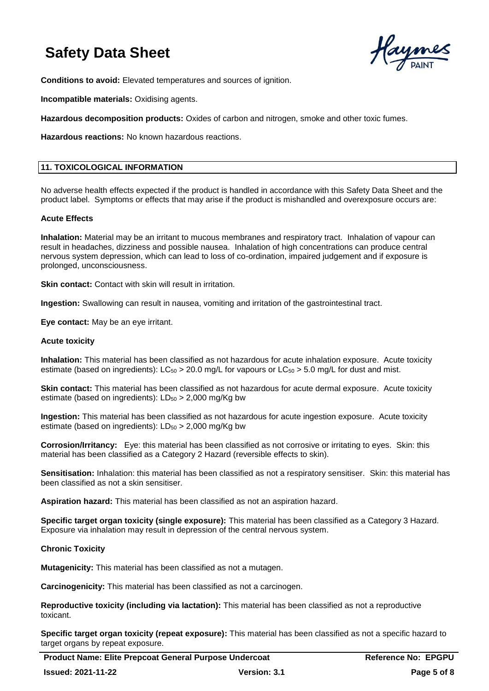

**Conditions to avoid:** Elevated temperatures and sources of ignition.

**Incompatible materials:** Oxidising agents.

**Hazardous decomposition products:** Oxides of carbon and nitrogen, smoke and other toxic fumes.

**Hazardous reactions:** No known hazardous reactions.

## **11. TOXICOLOGICAL INFORMATION**

No adverse health effects expected if the product is handled in accordance with this Safety Data Sheet and the product label. Symptoms or effects that may arise if the product is mishandled and overexposure occurs are:

#### **Acute Effects**

**Inhalation:** Material may be an irritant to mucous membranes and respiratory tract. Inhalation of vapour can result in headaches, dizziness and possible nausea. Inhalation of high concentrations can produce central nervous system depression, which can lead to loss of co-ordination, impaired judgement and if exposure is prolonged, unconsciousness.

**Skin contact:** Contact with skin will result in irritation.

**Ingestion:** Swallowing can result in nausea, vomiting and irritation of the gastrointestinal tract.

**Eye contact:** May be an eye irritant.

#### **Acute toxicity**

**Inhalation:** This material has been classified as not hazardous for acute inhalation exposure. Acute toxicity estimate (based on ingredients):  $LC_{50} > 20.0$  mg/L for vapours or  $LC_{50} > 5.0$  mg/L for dust and mist.

**Skin contact:** This material has been classified as not hazardous for acute dermal exposure. Acute toxicity estimate (based on ingredients):  $LD_{50} > 2,000$  mg/Kg bw

**Ingestion:** This material has been classified as not hazardous for acute ingestion exposure. Acute toxicity estimate (based on ingredients):  $LD_{50} > 2,000$  mg/Kg bw

**Corrosion/Irritancy:** Eye: this material has been classified as not corrosive or irritating to eyes. Skin: this material has been classified as a Category 2 Hazard (reversible effects to skin).

**Sensitisation:** Inhalation: this material has been classified as not a respiratory sensitiser. Skin: this material has been classified as not a skin sensitiser.

**Aspiration hazard:** This material has been classified as not an aspiration hazard.

**Specific target organ toxicity (single exposure):** This material has been classified as a Category 3 Hazard. Exposure via inhalation may result in depression of the central nervous system.

#### **Chronic Toxicity**

**Mutagenicity:** This material has been classified as not a mutagen.

**Carcinogenicity:** This material has been classified as not a carcinogen.

**Reproductive toxicity (including via lactation):** This material has been classified as not a reproductive toxicant.

**Specific target organ toxicity (repeat exposure):** This material has been classified as not a specific hazard to target organs by repeat exposure.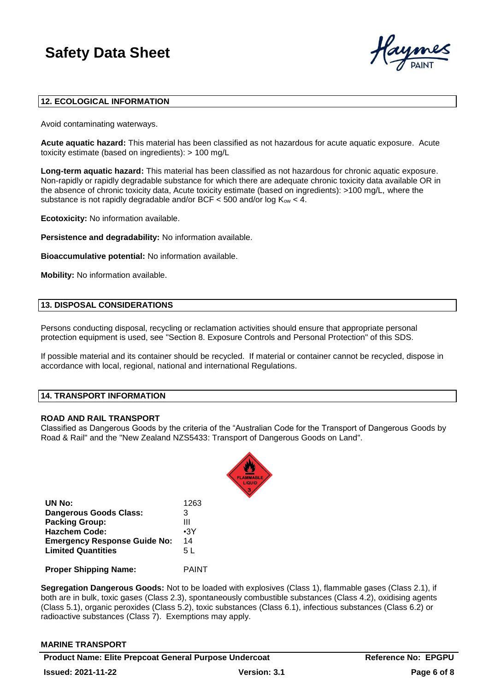

## **12. ECOLOGICAL INFORMATION**

Avoid contaminating waterways.

**Acute aquatic hazard:** This material has been classified as not hazardous for acute aquatic exposure. Acute toxicity estimate (based on ingredients): > 100 mg/L

**Long-term aquatic hazard:** This material has been classified as not hazardous for chronic aquatic exposure. Non-rapidly or rapidly degradable substance for which there are adequate chronic toxicity data available OR in the absence of chronic toxicity data, Acute toxicity estimate (based on ingredients): >100 mg/L, where the substance is not rapidly degradable and/or BCF  $<$  500 and/or log  $K_{ow}$   $<$  4.

**Ecotoxicity:** No information available.

**Persistence and degradability:** No information available.

**Bioaccumulative potential:** No information available.

**Mobility:** No information available.

## **13. DISPOSAL CONSIDERATIONS**

Persons conducting disposal, recycling or reclamation activities should ensure that appropriate personal protection equipment is used, see "Section 8. Exposure Controls and Personal Protection" of this SDS.

If possible material and its container should be recycled. If material or container cannot be recycled, dispose in accordance with local, regional, national and international Regulations.

#### **14. TRANSPORT INFORMATION**

#### **ROAD AND RAIL TRANSPORT**

Classified as Dangerous Goods by the criteria of the "Australian Code for the Transport of Dangerous Goods by Road & Rail" and the "New Zealand NZS5433: Transport of Dangerous Goods on Land".



| UN No:                              | 1263       |
|-------------------------------------|------------|
| Dangerous Goods Class:              | 3          |
| <b>Packing Group:</b>               | Ш          |
| <b>Hazchem Code:</b>                | $\cdot$ 3Y |
| <b>Emergency Response Guide No:</b> | 14         |
| <b>Limited Quantities</b>           | 5 L        |
|                                     |            |

**Proper Shipping Name:** PAINT

**Segregation Dangerous Goods:** Not to be loaded with explosives (Class 1), flammable gases (Class 2.1), if both are in bulk, toxic gases (Class 2.3), spontaneously combustible substances (Class 4.2), oxidising agents (Class 5.1), organic peroxides (Class 5.2), toxic substances (Class 6.1), infectious substances (Class 6.2) or radioactive substances (Class 7). Exemptions may apply.

#### **MARINE TRANSPORT**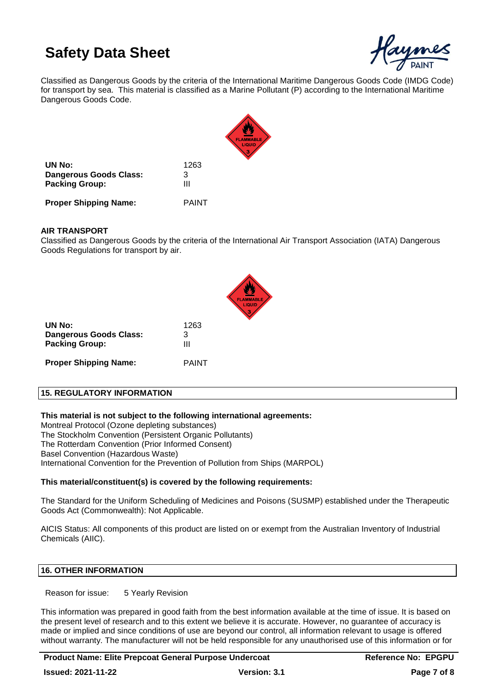

Classified as Dangerous Goods by the criteria of the International Maritime Dangerous Goods Code (IMDG Code) for transport by sea. This material is classified as a Marine Pollutant (P) according to the International Maritime Dangerous Goods Code.



**UN No:** 1263 **Dangerous Goods Class:** 3 **Packing Group:** III

**Proper Shipping Name:** PAINT

## **AIR TRANSPORT**

Classified as Dangerous Goods by the criteria of the International Air Transport Association (IATA) Dangerous Goods Regulations for transport by air.

| UN No:<br>Dangerous Goods Class:<br><b>Packing Group:</b> | 1263<br>3<br>Ш |
|-----------------------------------------------------------|----------------|
| <b>Proper Shipping Name:</b>                              | PAINT          |

## **15. REGULATORY INFORMATION**

**This material is not subject to the following international agreements:**

Montreal Protocol (Ozone depleting substances) The Stockholm Convention (Persistent Organic Pollutants) The Rotterdam Convention (Prior Informed Consent) Basel Convention (Hazardous Waste) International Convention for the Prevention of Pollution from Ships (MARPOL)

## **This material/constituent(s) is covered by the following requirements:**

The Standard for the Uniform Scheduling of Medicines and Poisons (SUSMP) established under the Therapeutic Goods Act (Commonwealth): Not Applicable.

AICIS Status: All components of this product are listed on or exempt from the Australian Inventory of Industrial Chemicals (AIIC).

## **16. OTHER INFORMATION**

Reason for issue: 5 Yearly Revision

This information was prepared in good faith from the best information available at the time of issue. It is based on the present level of research and to this extent we believe it is accurate. However, no guarantee of accuracy is made or implied and since conditions of use are beyond our control, all information relevant to usage is offered without warranty. The manufacturer will not be held responsible for any unauthorised use of this information or for